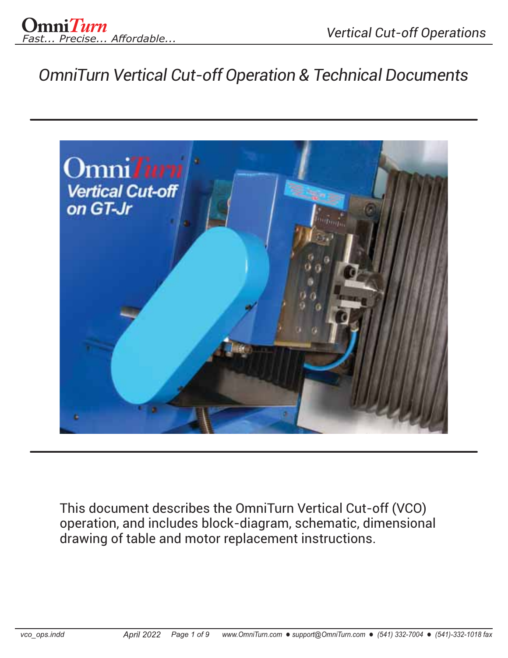

*OmniTurn Vertical Cut-off Operation & Technical Documents*



This document describes the OmniTurn Vertical Cut-off (VCO) operation, and includes block-diagram, schematic, dimensional drawing of table and motor replacement instructions.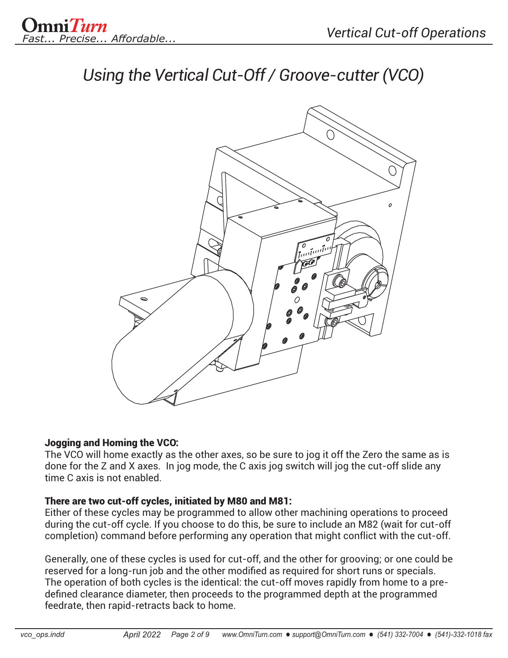

*Using the Vertical Cut-Off / Groove-cutter (VCO)*



#### Jogging and Homing the VCO:

The VCO will home exactly as the other axes, so be sure to jog it off the Zero the same as is done for the Z and X axes. In jog mode, the C axis jog switch will jog the cut-off slide any time C axis is not enabled.

#### There are two cut-off cycles, initiated by M80 and M81:

Either of these cycles may be programmed to allow other machining operations to proceed during the cut-off cycle. If you choose to do this, be sure to include an M82 (wait for cut-off completion) command before performing any operation that might conflict with the cut-off.

Generally, one of these cycles is used for cut-off, and the other for grooving; or one could be reserved for a long-run job and the other modified as required for short runs or specials. The operation of both cycles is the identical: the cut-off moves rapidly from home to a pre defined clearance diameter, then proceeds to the programmed depth at the programmed feedrate, then rapid-retracts back to home.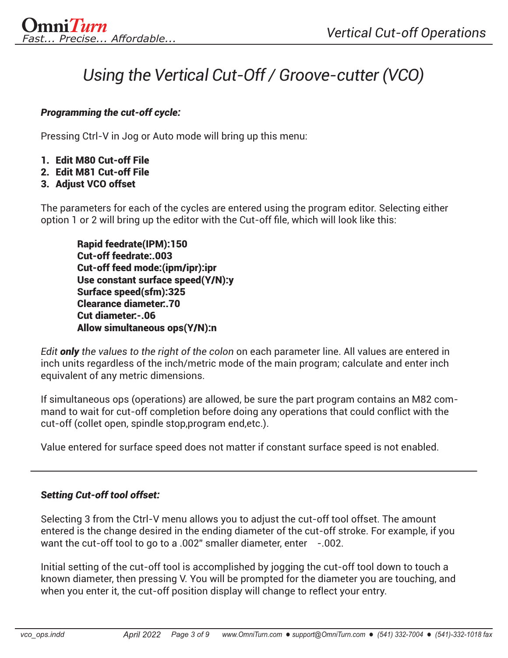# *Using the Vertical Cut-Off / Groove-cutter (VCO)*

#### *Programming the cut-off cycle:*

Pressing Ctrl-V in Jog or Auto mode will bring up this menu:

- 1. Edit M80 Cut-off File
- 2. Edit M81 Cut-off File
- 3. Adjust VCO offset

The parameters for each of the cycles are entered using the program editor. Selecting either option 1 or 2 will bring up the editor with the Cut-off file, which will look like this:

Rapid feedrate(IPM):150 Cut-off feedrate:.003 Cut-off feed mode:(ipm/ipr):ipr Use constant surface speed(Y/N):y Surface speed(sfm):325 Clearance diameter:.70 Cut diameter:-.06 Allow simultaneous ops(Y/N):n

*Edit only the values to the right of the colon* on each parameter line. All values are entered in inch units regardless of the inch/metric mode of the main program; calculate and enter inch equivalent of any metric dimensions.

If simultaneous ops (operations) are allowed, be sure the part program contains an M82 command to wait for cut-off completion before doing any operations that could conflict with the cut-off (collet open, spindle stop,program end,etc.).

Value entered for surface speed does not matter if constant surface speed is not enabled.

## *Setting Cut-off tool offset:*

Selecting 3 from the Ctrl-V menu allows you to adjust the cut-off tool offset. The amount entered is the change desired in the ending diameter of the cut-off stroke. For example, if you want the cut-off tool to go to a .002" smaller diameter, enter -.002.

Initial setting of the cut-off tool is accomplished by jogging the cut-off tool down to touch a known diameter, then pressing V. You will be prompted for the diameter you are touching, and when you enter it, the cut-off position display will change to reflect your entry.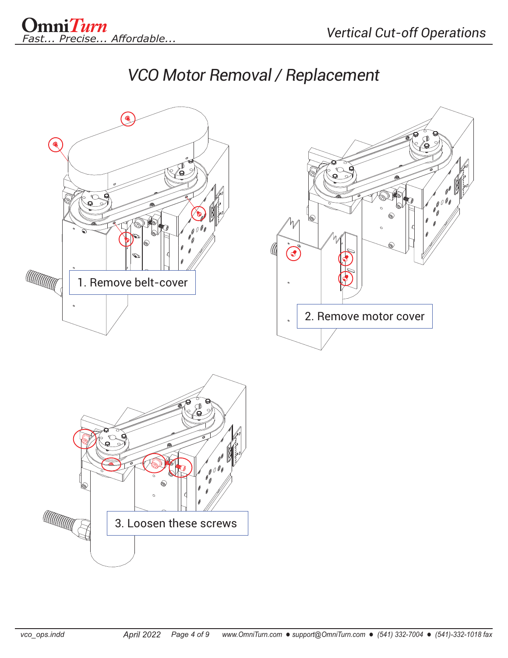



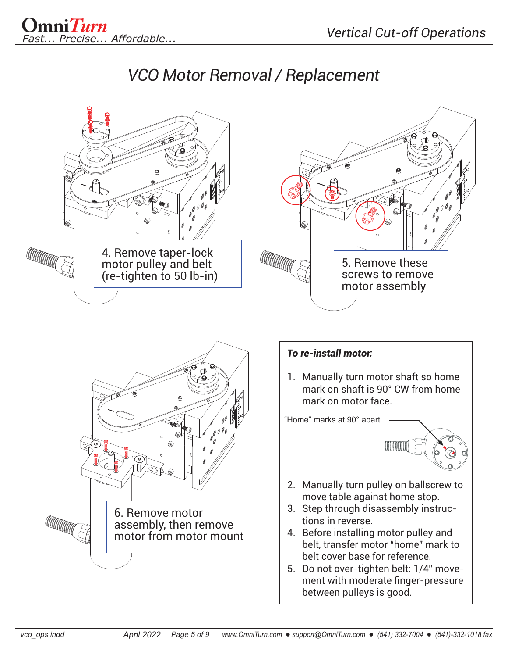### *VCO Motor Removal / Replacement*

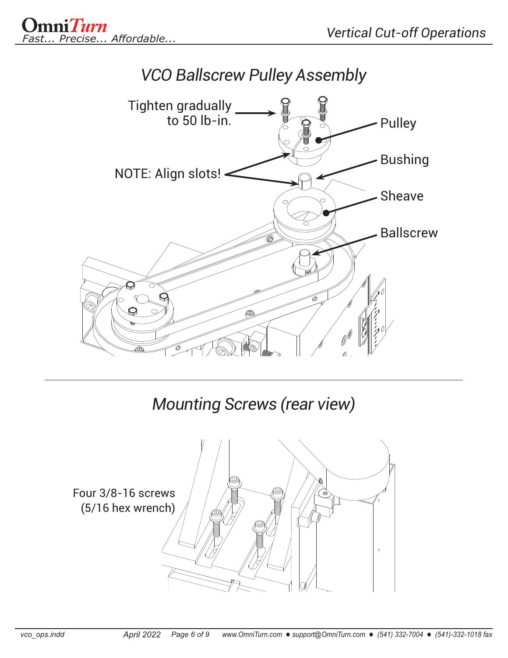



# *Mounting Screws (rear view)*

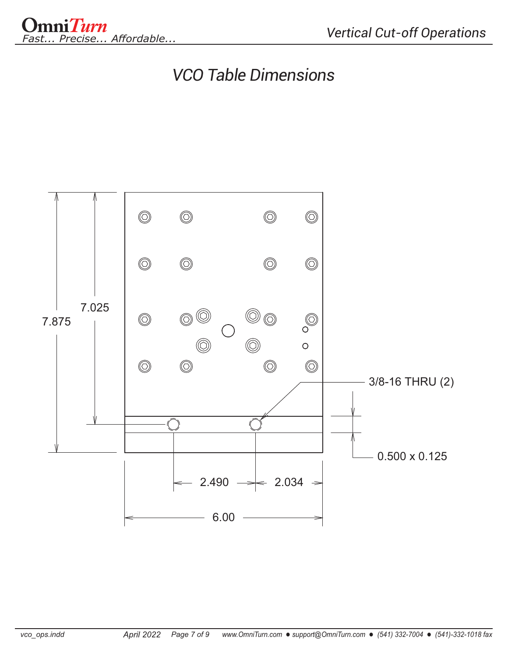

### *VCO Table Dimensions*

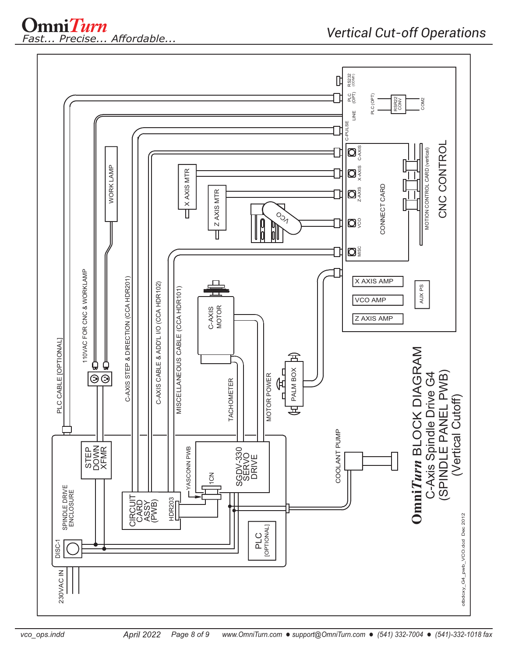